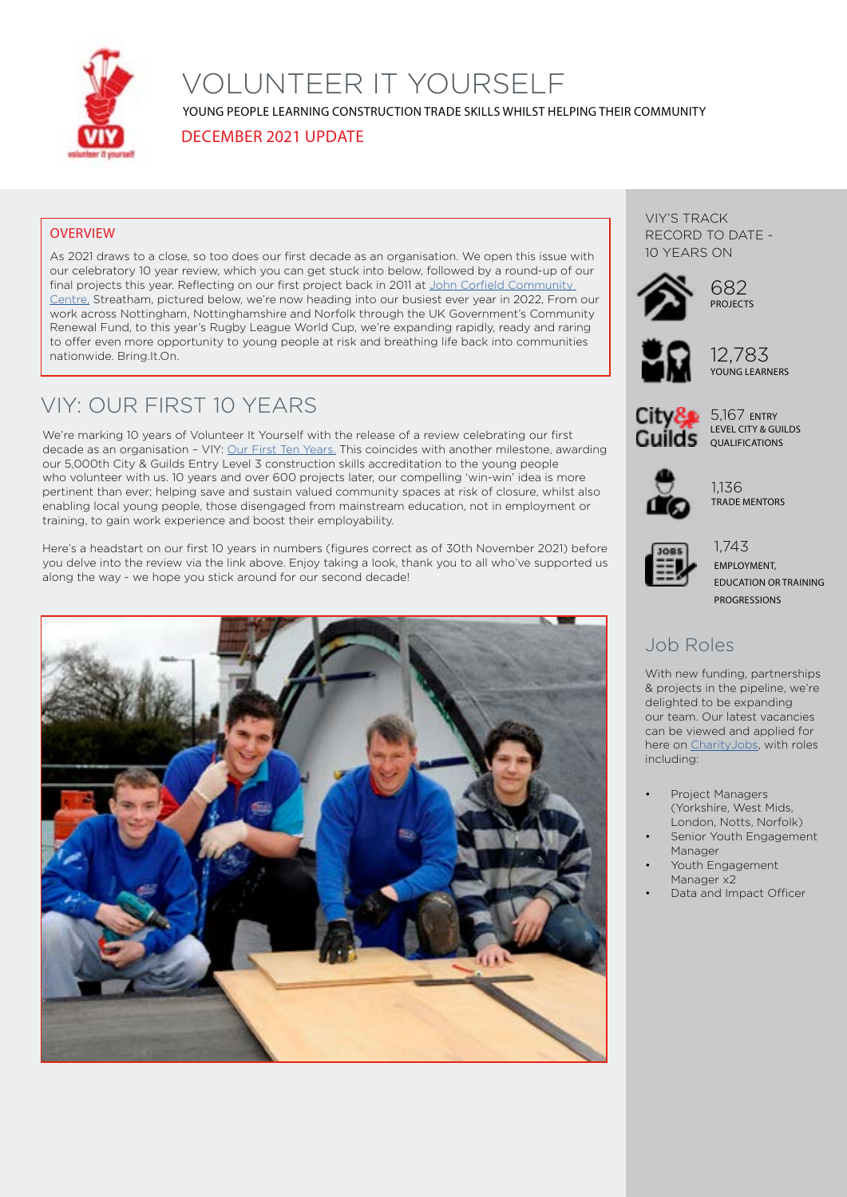

# VOLUNTEER IT YOURSELF

YOUNG PEOPLE LEARNING CONSTRUCTION TRADE SKILLS WHILST HELPING THEIR COMMUNITY

DECEMBER 2021 UPDATE

### **OVERVIEW**

As 2021 draws to a close, so too does our first decade as an organisation. We open this issue with our celebratory 10 year review, which you can get stuck into below, followed by a round-up of our final projects this year. Reflecting on our first project back in 2011 at [John Corfield Community](https://volunteerityourself.org/project/streatham-youth-and-community-trust/)  [Centre,](https://volunteerityourself.org/project/streatham-youth-and-community-trust/) Streatham, pictured below, we're now heading into our busiest ever year in 2022, From our work across Nottingham, Nottinghamshire and Norfolk through the UK Government's Community Renewal Fund, to this year's Rugby League World Cup, we're expanding rapidly, ready and raring to offer even more opportunity to young people at risk and breathing life back into communities nationwide. Bring.It.On.

## VIY: OUR FIRST 10 YEARS

We're marking 10 years of Volunteer It Yourself with the release of a review celebrating our first decade as an organisation – VIY: [Our First Ten Years.](http://bit.ly/VIY10Years) This coincides with another milestone, awarding our 5,000th City & Guilds Entry Level 3 construction skills accreditation to the young people who volunteer with us. 10 years and over 600 projects later, our compelling 'win-win' idea is more pertinent than ever; helping save and sustain valued community spaces at risk of closure, whilst also enabling local young people, those disengaged from mainstream education, not in employment or training, to gain work experience and boost their employability.

Here's a headstart on our first 10 years in numbers (figures correct as of 30th November 2021) before you delve into the review via the link above. Enjoy taking a look, thank you to all who've supported us along the way - we hope you stick around for our second decade!



VIY'S TRACK RECORD TO DATE - 10 YEARS ON





12,783 YOUNG LEARNERS







1,136 TRADE MENTORS



1,743 EMPLOYMENT, EDUCATION OR TRAINING **PROGRESSIONS** 

### Job Roles

With new funding, partnerships & projects in the pipeline, we're delighted to be expanding our team. Our latest vacancies can be viewed and applied for here on [CharityJobs,](http://bit.ly/3efZCds) with roles including:

- Project Managers (Yorkshire, West Mids, London, Notts, Norfolk)
- Senior Youth Engagement Manager
- Youth Engagement Manager x2
- Data and Impact Officer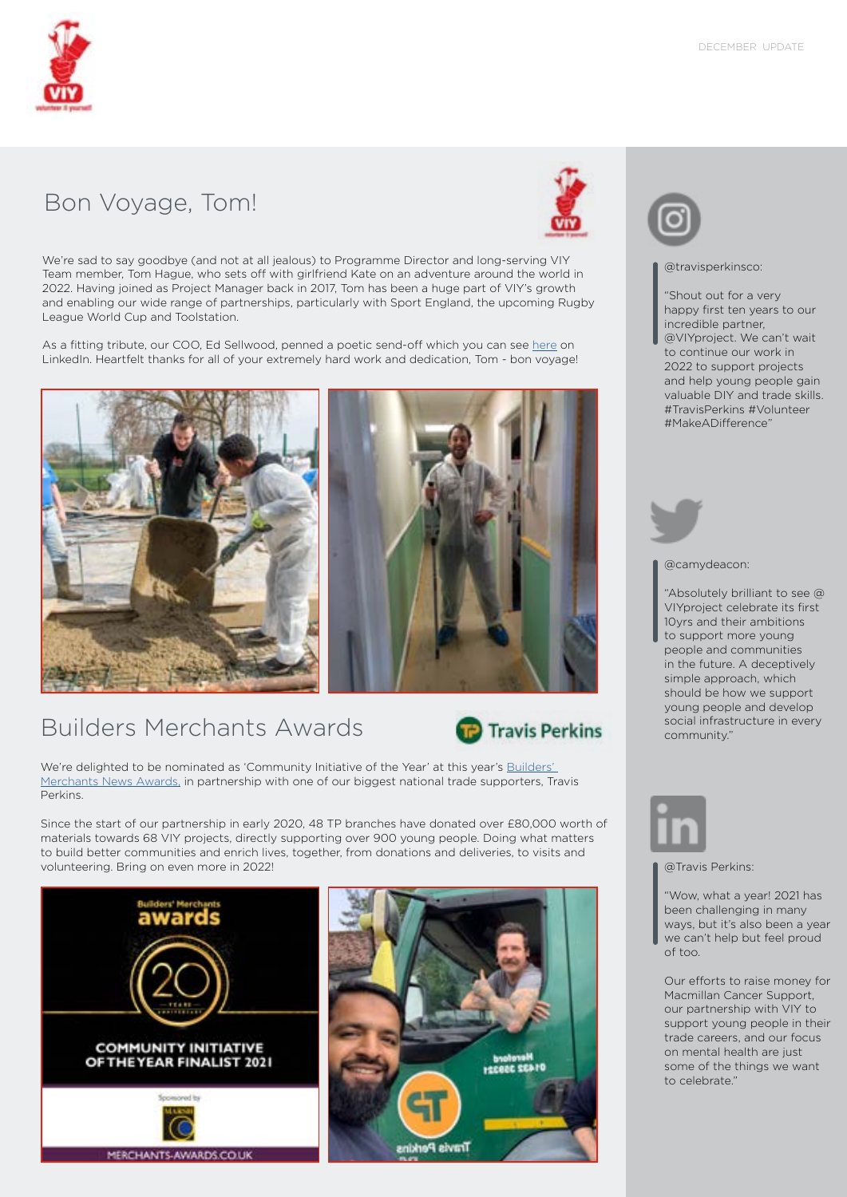

## Bon Voyage, Tom!



We're sad to say goodbye (and not at all jealous) to Programme Director and long-serving VIY Team member, Tom Hague, who sets off with girlfriend Kate on an adventure around the world in 2022. Having joined as Project Manager back in 2017, Tom has been a huge part of VIY's growth and enabling our wide range of partnerships, particularly with Sport England, the upcoming Rugby League World Cup and Toolstation.

As a fitting tribute, our COO, Ed Sellwood, penned a poetic send-off which you can see [here](https://www.linkedin.com/feed/update/urn:li:activity:6878649901467738112) on LinkedIn. Heartfelt thanks for all of your extremely hard work and dedication, Tom - bon voyage!



# Builders Merchants Awards



We're delighted to be nominated as 'Community Initiative of the Year' at this year's Builders' [Merchants News Awards,](https://www.merchants-awards.co.uk/live/en/page/finalists-2022) in partnership with one of our biggest national trade supporters, Travis Perkins.

Since the start of our partnership in early 2020, 48 TP branches have donated over £80,000 worth of materials towards 68 VIY projects, directly supporting over 900 young people. Doing what matters to build better communities and enrich lives, together, from donations and deliveries, to visits and volunteering. Bring on even more in 2022! **Was also assumed a contract of the contract of the contract of the contract of the contract of the contract of the contract of the contract of the contract of the contract of the** 





#### @travisperkinsco:

"Shout out for a very happy first ten years to our incredible partner, @VIYproject. We can't wait to continue our work in 2022 to support projects and help young people gain valuable DIY and trade skills. #TravisPerkins #Volunteer #MakeADifference"



#### @camydeacon:

"Absolutely brilliant to see @ VIYproject celebrate its first 10yrs and their ambitions to support more young people and communities in the future. A deceptively simple approach, which should be how we support young people and develop social infrastructure in every community."



"Wow, what a year! 2021 has been challenging in many ways, but it's also been a year we can't help but feel proud of too.

Our efforts to raise money for Macmillan Cancer Support, our partnership with VIY to support young people in their trade careers, and our focus on mental health are just some of the things we want to celebrate."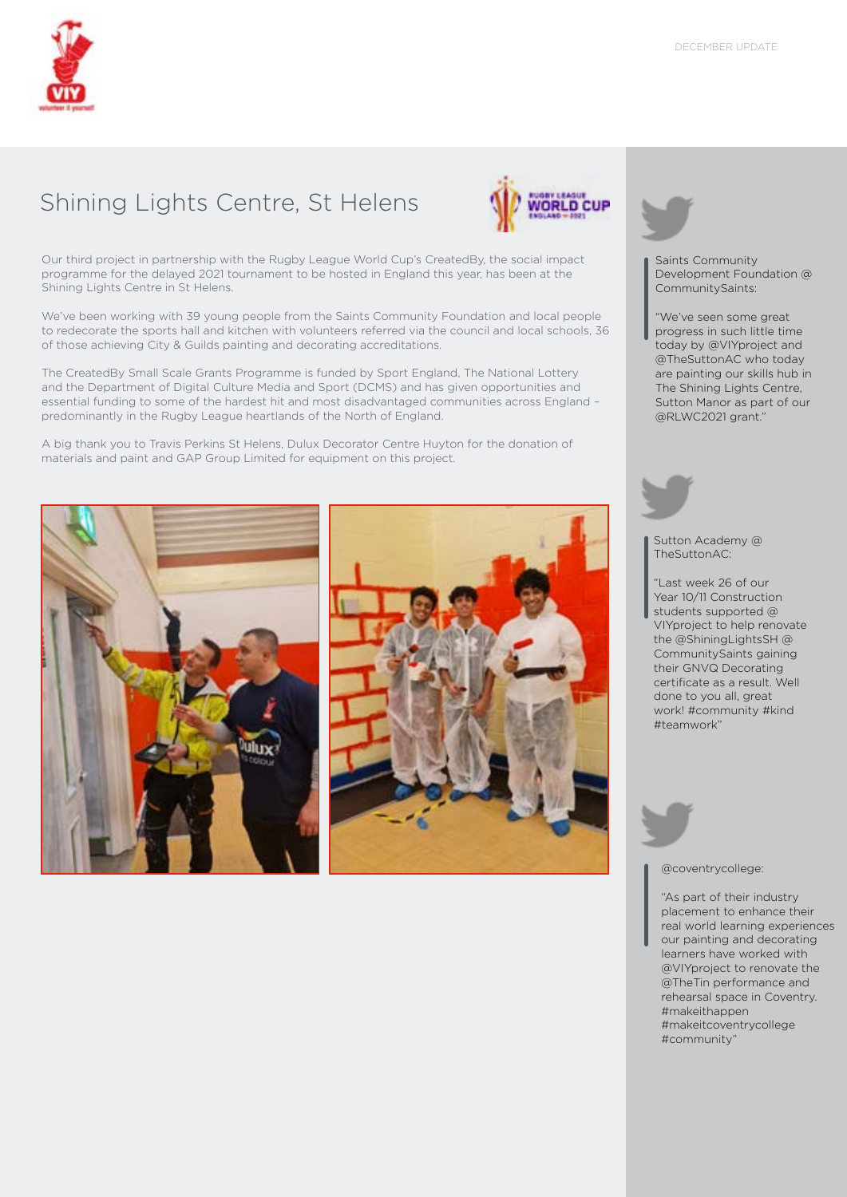

# Shining Lights Centre, St Helens



Our third project in partnership with the Rugby League World Cup's CreatedBy, the social impact programme for the delayed 2021 tournament to be hosted in England this year, has been at the Shining Lights Centre in St Helens.

We've been working with 39 young people from the Saints Community Foundation and local people to redecorate the sports hall and kitchen with volunteers referred via the council and local schools, 36 of those achieving City & Guilds painting and decorating accreditations.

The CreatedBy Small Scale Grants Programme is funded by Sport England, The National Lottery and the Department of Digital Culture Media and Sport (DCMS) and has given opportunities and essential funding to some of the hardest hit and most disadvantaged communities across England – predominantly in the Rugby League heartlands of the North of England.

A big thank you to Travis Perkins St Helens, Dulux Decorator Centre Huyton for the donation of materials and paint and GAP Group Limited for equipment on this project.







Saints Community Development Foundation @ CommunitySaints:

"We've seen some great progress in such little time today by @VIYproject and @TheSuttonAC who today are painting our skills hub in The Shining Lights Centre, Sutton Manor as part of our @RLWC2021 grant."

Sutton Academy @ TheSuttonAC:

"Last week 26 of our Year 10/11 Construction students supported @ VIYproject to help renovate the @ShiningLightsSH @ CommunitySaints gaining their GNVQ Decorating certificate as a result. Well done to you all, great work! #community #kind #teamwork"



#### @coventrycollege:

"As part of their industry placement to enhance their real world learning experiences our painting and decorating learners have worked with @VIYproject to renovate the @TheTin performance and rehearsal space in Coventry. #makeithappen #makeitcoventrycollege #community"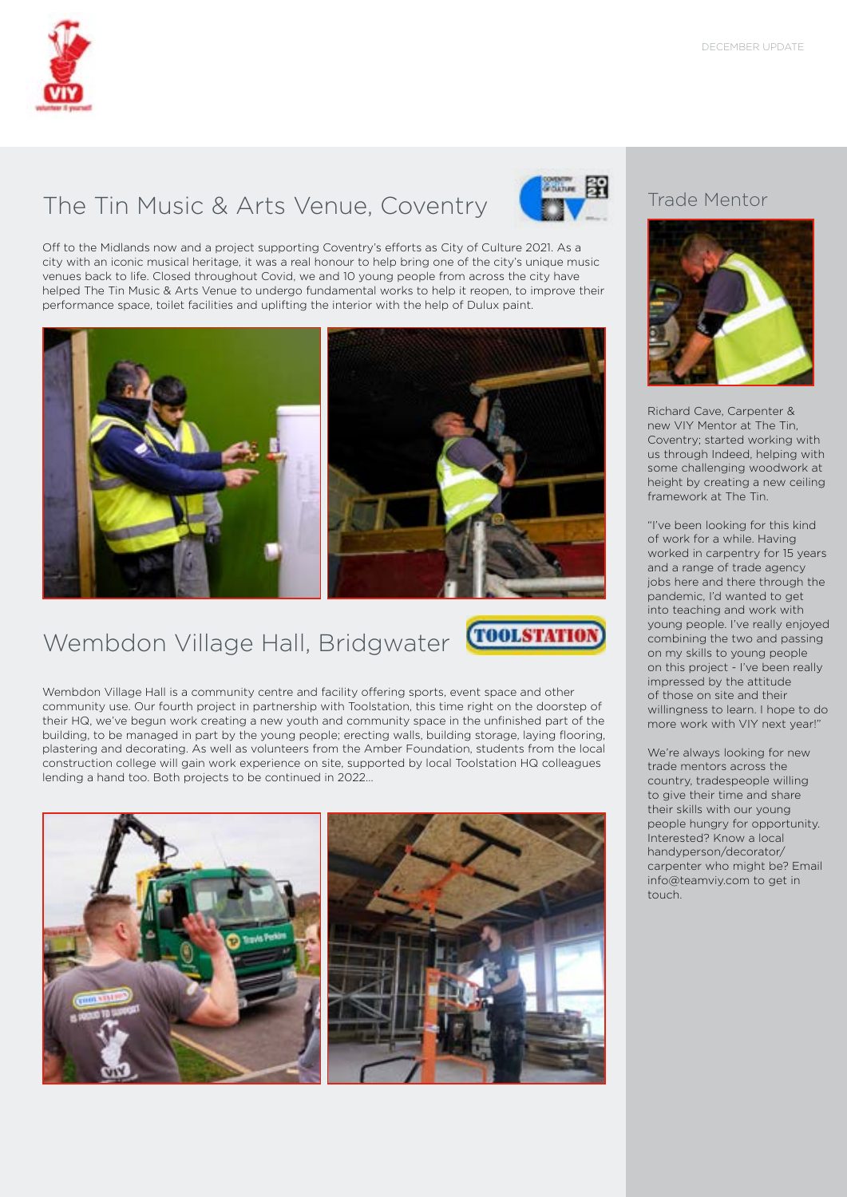

# The Tin Music & Arts Venue, Coventry



Off to the Midlands now and a project supporting Coventry's efforts as City of Culture 2021. As a city with an iconic musical heritage, it was a real honour to help bring one of the city's unique music venues back to life. Closed throughout Covid, we and 10 young people from across the city have helped The Tin Music & Arts Venue to undergo fundamental works to help it reopen, to improve their performance space, toilet facilities and uplifting the interior with the help of Dulux paint.



# Wembdon Village Hall, Bridgwater



Wembdon Village Hall is a community centre and facility offering sports, event space and other community use. Our fourth project in partnership with Toolstation, this time right on the doorstep of their HQ, we've begun work creating a new youth and community space in the unfinished part of the building, to be managed in part by the young people; erecting walls, building storage, laying flooring, plastering and decorating. As well as volunteers from the Amber Foundation, students from the local construction college will gain work experience on site, supported by local Toolstation HQ colleagues lending a hand too. Both projects to be continued in 2022…



### Trade Mentor



Richard Cave, Carpenter & new VIY Mentor at The Tin, Coventry; started working with us through Indeed, helping with some challenging woodwork at height by creating a new ceiling framework at The Tin.

"I've been looking for this kind of work for a while. Having worked in carpentry for 15 years and a range of trade agency jobs here and there through the pandemic, I'd wanted to get into teaching and work with young people. I've really enjoyed combining the two and passing on my skills to young people on this project - I've been really impressed by the attitude of those on site and their willingness to learn. I hope to do more work with VIY next year!"

We're always looking for new trade mentors across the country, tradespeople willing to give their time and share their skills with our young people hungry for opportunity. Interested? Know a local handyperson/decorator/ carpenter who might be? Email info@teamviy.com to get in touch.